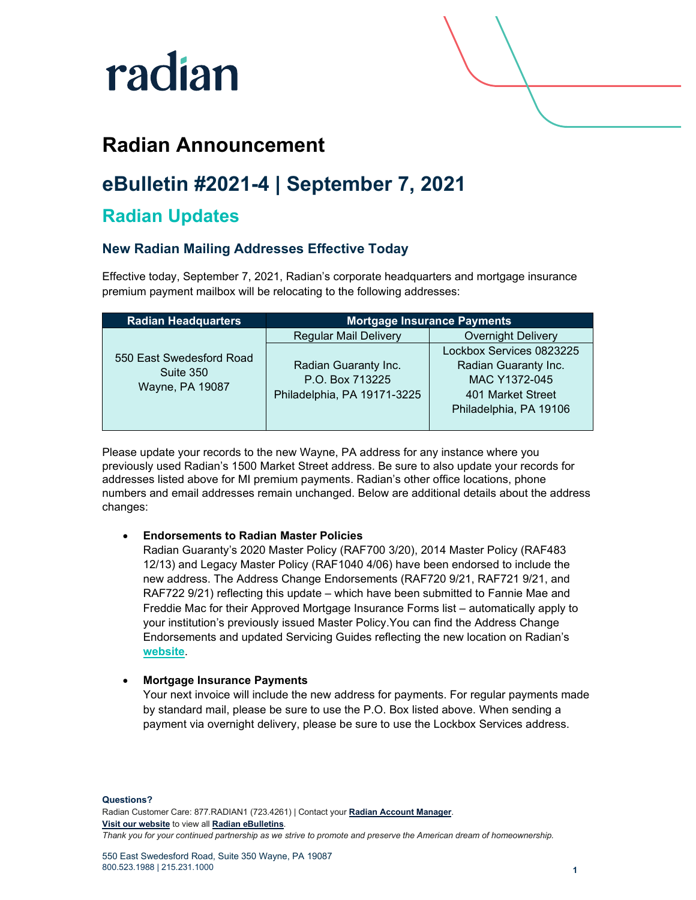

# **Radian Announcement**

# **eBulletin #2021-4 | September 7, 2021**

## **Radian Updates**

### **New Radian Mailing Addresses Effective Today**

Effective today, September 7, 2021, Radian's corporate headquarters and mortgage insurance premium payment mailbox will be relocating to the following addresses:

| <b>Radian Headquarters</b>                               | <b>Mortgage Insurance Payments</b>                                     |                                                                                                                  |
|----------------------------------------------------------|------------------------------------------------------------------------|------------------------------------------------------------------------------------------------------------------|
|                                                          | <b>Regular Mail Delivery</b>                                           | <b>Overnight Delivery</b>                                                                                        |
| 550 East Swedesford Road<br>Suite 350<br>Wayne, PA 19087 | Radian Guaranty Inc.<br>P.O. Box 713225<br>Philadelphia, PA 19171-3225 | Lockbox Services 0823225<br>Radian Guaranty Inc.<br>MAC Y1372-045<br>401 Market Street<br>Philadelphia, PA 19106 |

Please update your records to the new Wayne, PA address for any instance where you previously used Radian's 1500 Market Street address. Be sure to also update your records for addresses listed above for MI premium payments. Radian's other office locations, phone numbers and email addresses remain unchanged. Below are additional details about the address changes:

### • **Endorsements to Radian Master Policies**

Radian Guaranty's 2020 Master Policy (RAF700 3/20), 2014 Master Policy (RAF483 12/13) and Legacy Master Policy (RAF1040 4/06) have been endorsed to include the new address. The Address Change Endorsements (RAF720 9/21, RAF721 9/21, and RAF722 9/21) reflecting this update – which have been submitted to Fannie Mae and Freddie Mac for their Approved Mortgage Insurance Forms list – automatically apply to your institution's previously issued Master Policy.You can find the Address Change Endorsements and updated Servicing Guides reflecting the new location on Radian's **[website](https://www.radian.com/what-we-do/mortgage-insurance/mi-resources)**.

### • **Mortgage Insurance Payments**

Your next invoice will include the new address for payments. For regular payments made by standard mail, please be sure to use the P.O. Box listed above. When sending a payment via overnight delivery, please be sure to use the Lockbox Services address.

**Questions?** Radian Customer Care: 877.RADIAN1 (723.4261) | Contact your **[Radian Account Manager](https://radian.com/account-manager-finder)**. **[Visit our website](https://radian.com/)** to view all **[Radian eBulletins](https://radian.com/what-we-do/mortgage-insurance/mi-lender-services/eBulletins)**. *Thank you for your continued partnership as we strive to promote and preserve the American dream of homeownership.*